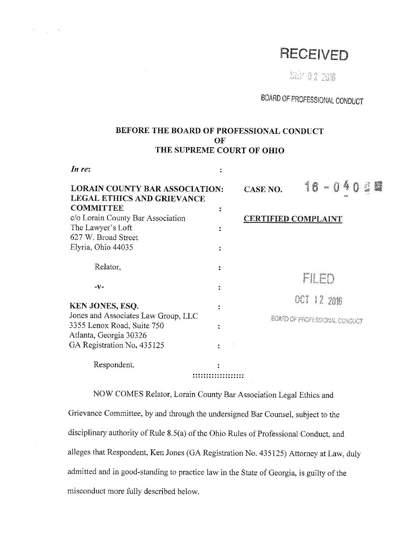# RECEIVED

S&P 0 2 2016

BOARD OF PROFESSIONAL CONDUCT

# BEFORE THE BOARD OF PROFESSIONAL CONDUCT OF THE SUPREME COURT OF OHIO

*In re:* 

 $\sim 10$ 

 $A_{\rm{max}}=10^{10}$  .

| in re:                                                                     |  |                                      |                              |                      |
|----------------------------------------------------------------------------|--|--------------------------------------|------------------------------|----------------------|
| <b>LORAIN COUNTY BAR ASSOCIATION:</b><br><b>LEGAL ETHICS AND GRIEVANCE</b> |  | <b>CASE NO.</b>                      | 16<br>4<br>$\tau_{\rm cool}$ | Ő<br>الياني<br>الألا |
| <b>COMMITTEE</b>                                                           |  |                                      |                              |                      |
| c/o Lorain County Bar Association                                          |  |                                      | <b>CERTIFIED COMPLAINT</b>   |                      |
| The Lawyer's Loft                                                          |  |                                      |                              |                      |
| 627 W. Broad Street                                                        |  |                                      |                              |                      |
| Elyria, Ohio 44035                                                         |  |                                      |                              |                      |
| Relator,                                                                   |  |                                      | Fil F                        |                      |
| $-V-$                                                                      |  | OCT 12 2016                          |                              |                      |
| KEN JONES, ESQ.                                                            |  |                                      |                              |                      |
| Jones and Associates Law Group, LLC                                        |  | <b>BOARD OF PROFESSIONAL CONDUCT</b> |                              |                      |
| 3355 Lenox Road, Suite 750                                                 |  |                                      |                              |                      |
| Atlanta, Georgia 30326                                                     |  |                                      |                              |                      |
| GA Registration No. 435125                                                 |  |                                      |                              |                      |
| Respondent.                                                                |  |                                      |                              |                      |
|                                                                            |  |                                      |                              |                      |

NOW COMES Relator, Lorain County Bar Association Legal Ethics and Grievance Committee, by and through the undersigned Bar Counsel, subject to the disciplinary authority of Rule 8.5(a) of the Ohio Rules of Professional Conduct, and alleges that Respondent, Ken Jones (GA Registration No. 435125) Attorney at Law, duly admitted and in good-standing to practice law in the State of Georgia, is guilty of the misconduct more fully described below.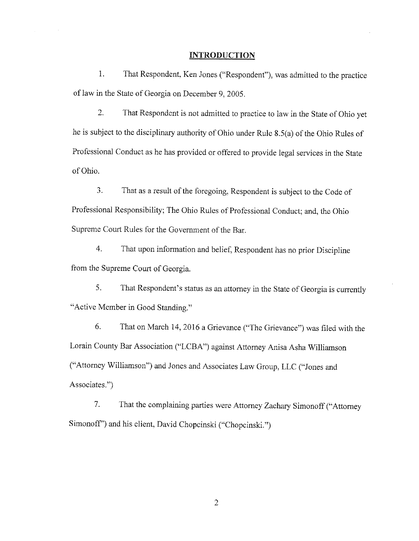#### **INTRODUCTION**

1. That Respondent, Ken Jones ("Respondent"), was admitted to the practice of law in the State of Georgia on December 9, 2005.

2. That Respondent is not admitted to practice to law in the State of Ohio yet he is subject to the disciplinary authority of Ohio under Rule 8.5(a) of the Ohio Rules of Professional Conduct as he has provided or offered to provide legal services in the State of Ohio.

3. That as a result of the foregoing, Respondent is subject to the Code of Professional Responsibility; The Ohio Rules of Professional Conduct; and, the Ohio Supreme Court Rules for the Government of the Bar.

4. That upon information and belief, Respondent has no prior Discipline from the Supreme Court of Georgia.

5. That Respondent's status as an attorney in the State of Georgia is currently "Active Member in Good Standing."

6. That on March 14, 2016 a Grievance ("The Grievance") was filed with the Lorain County Bar Association ("LCBA") against Attorney Anisa Asha Williamson ("Attorney Williamson") and Jones and Associates Law Group, LLC ("Jones and Associates.")

7. That the complaining parties were Attorney Zachary Simonoff ("Attorney Simonoff") and his client, David Chopcinski ("Chopcinski.")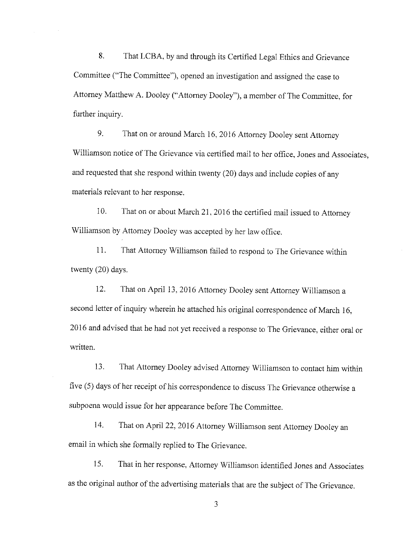8. That LCBA, by and through its Certified Legal Ethics and Grievance Committee ("The Committee"), opened an investigation and assigned the case to Attorney Matthew A. Dooley ("Attorney Dooley"), a member of The Committee, for further inquiry.

9. That on or around March 16, 2016 Attorney Dooley sent Attorney Williamson notice of The Grievance via certified mail to her office, Jones and Associates, and requested that she respond within twenty (20) days and include copies of any materials relevant to her response.

10. That on or about March 21, 2016 the certified mail issued to Attorney Williamson by Attorney Dooley was accepted by her law office.

11. That Attorney Williamson failed to respond to The Grievance within twenty (20) days.

12. That on April 13, 2016 Attorney Dooley sent Attorney Williamson a second letter of inquiry wherein he attached his original correspondence of March 16, 2016 and advised that he had not yet received a response to The Grievance, either oral or written.

13. That Attorney Dooley advised Attorney Williamson to contact him within five (5) days of her receipt of his correspondence to discuss The Grievance otherwise a subpoena would issue for her appearance before The Committee.

14. That on April 22, 2016 Attorney Williamson sent Attorney Dooley an email in which she formally replied to The Grievance.

15. That in her response, Attorney Williamson identified Jones and Associates as the original author of the advertising materials that are the subject of The Grievance.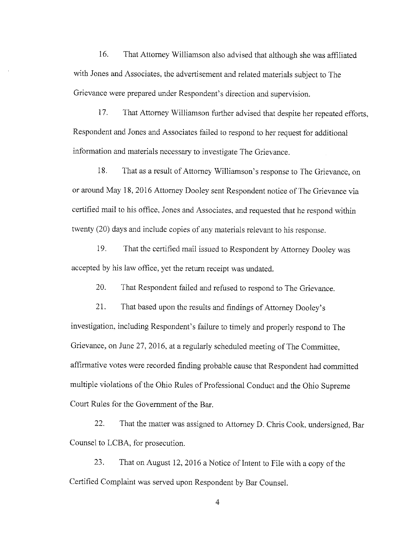16. That Attorney Williamson also advised that although she was affiliated with Jones and Associates, the advertisement and related materials subject to The Grievance were prepared under Respondent's direction and supervision.

17. That Attorney Williamson further advised that despite her repeated efforts, Respondent and Jones and Associates failed to respond to her request for additional information and materials necessary to investigate The Grievance.

18. That as a result of Attorney Williamson's response to The Grievance, on or around May 18, 2016 Attorney Dooley sent Respondent notice of The Grievance via certified mail to his office, Jones and Associates, and requested that he respond within twenty (20) days and include copies of any materials relevant to his response.

19. That the certified mail issued to Respondent by Attorney Dooley was accepted by his law office, yet the return receipt was undated.

20. That Respondent failed and refused to respond to The Grievance.

21. That based upon the results and findings of Attorney Dooley's investigation, including Respondent's failure to timely and properly respond to The Grievance, on June 27, 2016, at a regularly scheduled meeting of The Committee, affirmative votes were recorded finding probable cause that Respondent had committed multiple violations of the Ohio Rules of Professional Conduct and the Ohio Supreme Court Rules for the Government of the Bar.

22. That the matter was assigned to Attorney D. Chris Cook, undersigned, Bar Counsel to LCBA, for prosecution.

23. That on August 12, 2016 a Notice of Intent to File with a copy of the Certified Complaint was served upon Respondent by Bar Counsel.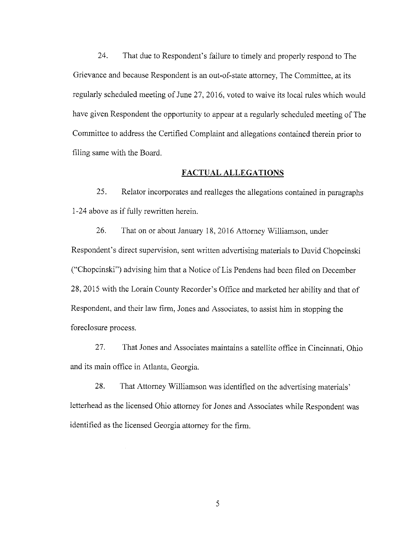24. That due to Respondent's failure to timely and properly respond to The Grievance and because Respondent is an out-of-state attorney, The Committee, at its regularly scheduled meeting of June 27, 2016, voted to waive its local rules which would have given Respondent the opportunity to appear at a regularly scheduled meeting of The Committee to address the Certified Complaint and allegations contained therein prior to filing same with the Board.

## **FACTUAL ALLEGATIONS**

25. Relator incorporates and realleges the allegations contained in paragraphs 1-24 above as if fully rewritten herein.

26. That on or about January 18, 2016 Attorney Williamson, under Respondent's direct supervision, sent written advertising materials to David Chopcinski ("Chopcinski") advising him that a Notice of Lis Pendens had been filed on December 28, 2015 with the Lorain County Recorder's Office and marketed her ability and that of Respondent, and their law firm, Jones and Associates, to assist him in stopping the foreclosure process.

27. That Jones and Associates maintains a satellite office in Cincinnati, Ohio and its main office in Atlanta, Georgia.

28. That Attorney Williamson was identified on the advertising materials' letterhead as the licensed Ohio attorney for Jones and Associates while Respondent was identified as the licensed Georgia attorney for the firm.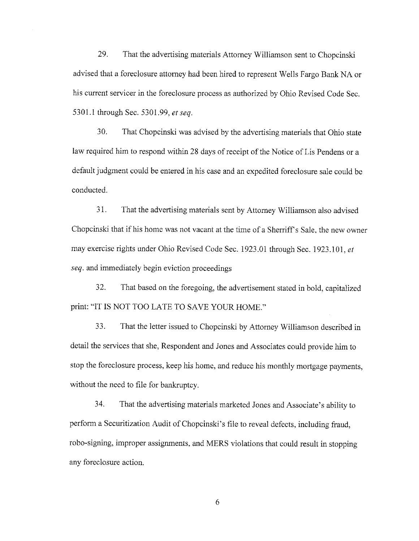29. That the advertising materials Attorney Williamson sent to Chopcinski advised that a foreclosure attorney had been hired to represent Wells Fargo Bank NA or his current servicer in the foreclosure process as authorized by Ohio Revised Code Sec. 5301.1 through Sec. 5301.99, *et seq.* 

30. That Chopcinski was advised by the advertising materials that Ohio state law required him to respond within 28 days of receipt of the Notice of Lis Pendens or a default judgment could be entered in his case and an expedited foreclosure sale could be conducted.

31. That the advertising materials sent by Attorney Williamson also advised Chopcinski that if his home was not vacant at the time of a Sherriff's Sale, the new owner may exercise rights under Ohio Revised Code Sec. 1923 .01 through Sec. 1923 .101, *et seq.* and immediately begin eviction proceedings

32. That based on the foregoing, the advertisement stated in bold, capitalized print: "IT IS NOT TOO LATE TO SAVE YOUR HOME."

33. That the letter issued to Chopcinski by Attorney Williamson described in detail the services that she, Respondent and Jones and Associates could provide him to stop the foreclosure process, keep his home, and reduce his monthly mortgage payments, without the need to file for bankruptcy.

34. That the advertising materials marketed Jones and Associate's ability to perform a Securitization Audit of Chopcinski's file to reveal defects, including fraud, robo-signing, improper assignments, and MERS violations that could result in stopping any foreclosure action.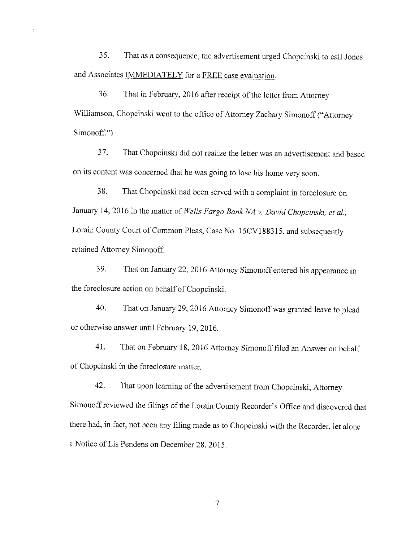35. That as a consequence, the advertisement urged Chopcinski to call Jones and Associates IMMEDIATELY for a FREE case evaluation.

36. That in February, 2016 after receipt of the letter from Attorney Williamson, Chopcinski went to the office of Attorney Zachary Simonoff ("Attorney Simonoff.")

3 7. That Chopcinski did not realize the letter was an advertisement and based on its content was concerned that he was going to lose his home very soon.

38. That Chopcinski had been served with a complaint in foreclosure on January 14, 2016 in the matter of *Wells Fargo Bank NA* v. *David Chopcinski, et al.,*  Lorain County Court of Common Pleas, Case No. 15CV188315, and subsequently retained Attorney Simonoff.

39. That on January 22, 2016 Attorney Simonoff entered his appearance in the foreclosure action on behalf of Chopcinski.

40. That on January 29, 2016 Attorney Simonoffwas granted leave to plead or otherwise answer until February 19, 2016.

41. That on February 18, 2016 Attorney Simonofffiled an Answer on behalf of Chopcinski in the foreclosure matter.

42. That upon learning of the advertisement from Chopcinski, Attorney Simonoff reviewed the filings of the Lorain County Recorder's Office and discovered that there had, in fact, not been any filing made as to Chopcinski with the Recorder, let alone a Notice of Lis Pendens on December 28, 2015.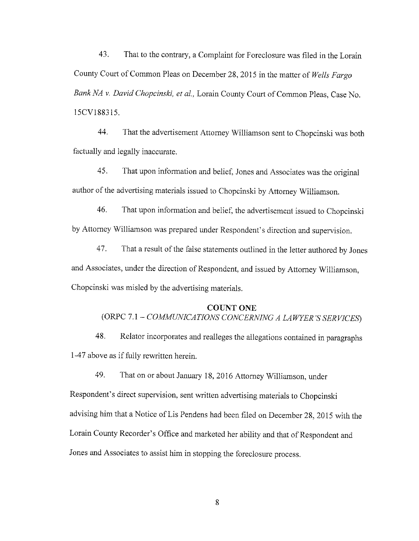43. That to the contrary, a Complaint for Foreclosure was filed in the Lorain County Court of Common Pleas on December 28, 2015 in the matter of *Wells Fargo Bank NA v. David Chopcinski, et al.,* Lorain County Court of Common Pleas, Case No. 15CV188315.

44. That the advertisement Attorney Williamson sent to Chopcinski was both factually and legally inaccurate.

45. That upon information and belief, Jones and Associates was the original author of the advertising materials issued to Chopcinski by Attorney Williamson.

46. That upon information and belief, the advertisement issued to Chopcinski by Attorney Williamson was prepared under Respondent's direction and supervision.

47. That a result of the false statements outlined in the letter authored by Jones and Associates, under the direction of Respondent, and issued by Attorney Williamson, Chopcinski was misled by the advertising materials.

#### COUNT ONE

# (ORPC 7.1 - *COA1MUNICATJONS CONCERNING A LAWYER'S SERVICES;*

48. Relator incorporates and realleges the allegations contained in paragraphs 1-47 above as if fully rewritten herein.

49. That on or about January 18, 2016 Attorney Williamson, under

Respondent's direct supervision, sent written advertising materials to Chopcinski advising him that a Notice of Lis Pendens had been filed on December 28, 2015 with the Lorain County Recorder's Office and marketed her ability and that of Respondent and Jones and Associates to assist him in stopping the foreclosure process.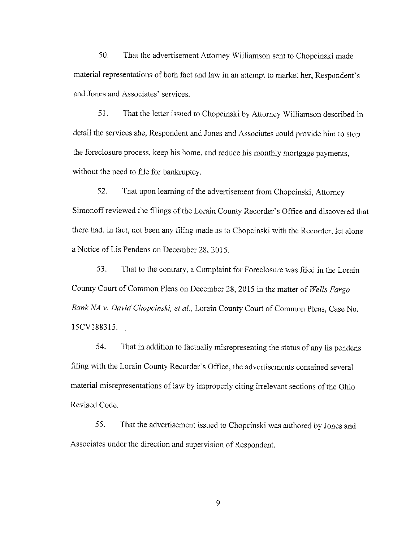50. That the advertisement Attorney Williamson sent to Chopcinski made material representations of both fact and law in an attempt to market her, Respondent's and Jones and Associates' services.

51. That the letter issued to Chopcinski by Attorney Williamson described in detail the services she, Respondent and Jones and Associates could provide him to stop the foreclosure process, keep his home, and reduce his monthly mortgage payments, without the need to file for bankruptcy.

52. That upon learning of the advertisement from Chopcinski, Attorney Simonoff reviewed the filings of the Lorain County Recorder's Office and discovered that there had, in fact, not been any filing made as to Chopcinski with the Recorder, let alone a Notice of Lis Pendens on December 28, 2015.

53. That to the contrary, a Complaint for Foreclosure was filed in the Lorain County Court of Common Pleas on December 28, 2015 in the matter of *Wells Fargo Bank NA v. David Chopcinski, et al.,* Lorain County Court of Common Pleas, Case No. 15CV188315.

54. That in addition to factually misrepresenting the status of any lis pendens filing with the Lorain County Recorder's Office, the advertisements contained several material misrepresentations of law by improperly citing irrelevant sections of the Ohio Revised Code.

5 5. That the advertisement issued to Chopcinski was authored by Jones and Associates under the direction and supervision of Respondent.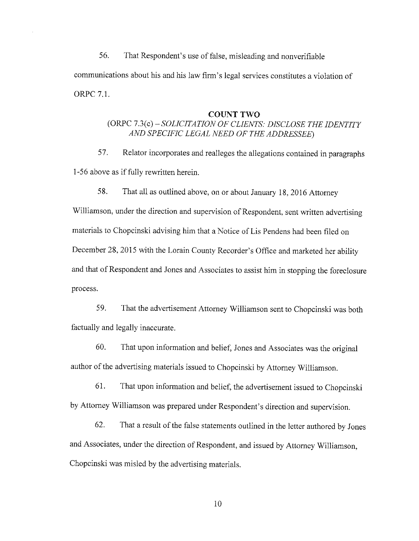56. That Respondent's use of false, misleading and nonverifiable communications about his and his law firm's legal services constitutes a violation of ORPC 7.1.

#### **COUNT TWO**

# (ORPC *7.3(c)-SOLICITATION OF CLIENTS: DISCLOSE THE IDENTITY AND SPECIFIC LEGAL NEED OF THE ADDRESSEE)*

57. Relator incorporates and realleges the allegations contained in paragraphs 1-56 above as if fully rewritten herein.

58. That all as outlined above, on or about January 18, 2016 Attorney

Williamson, under the direction and supervision of Respondent, sent written advertising materials to Chopcinski advising him that a Notice of Lis Pendens had been filed on December 28, 2015 with the Lorain County Recorder's Office and marketed her ability and that of Respondent and Jones and Associates to assist him in stopping the foreclosure process.

59. That the advertisement Attorney Williamson sent to Chopcinski was both factually and legally inaccurate.

60. That upon information and belief, Jones and Associates was the original author of the advertising materials issued to Chopcinski by Attorney Williamson.

61. That upon information and belief, the advertisement issued to Chopcinski by Attorney Williamson was prepared under Respondent's direction and supervision.

62. That a result of the false statements outlined in the letter authored by Jones and Associates, under the direction of Respondent, and issued by Attorney Williamson, Chopcinski was misled by the advertising materials.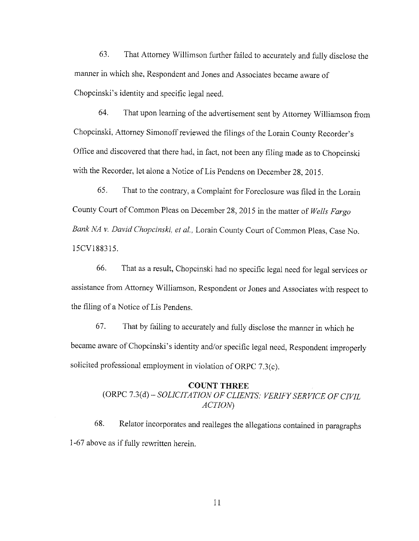63. That Attorney Willimson further failed to accurately and fully disclose the manner in which she, Respondent and Jones and Associates became aware of Chopcinski's identity and specific legal need.

64. That upon learning of the advertisement sent by Attorney Williamson from Chopcinski, Attorney Simonoffreviewed the filings of the Lorain County Recorder's Office and discovered that there had, in fact, not been any filing made as to Chopcinski with the Recorder, let alone a Notice of Lis Pendens on December 28, 2015.

65. That to the contrary, a Complaint for Foreclosure was filed in the Lorain County Court of Common Pleas on December 28, 2015 in the matter of *Wells Fargo Bank NA v. David Chopcinski, et al.,* Lorain County Court of Common Pleas, Case No. 15CV188315.

66. That as a result, Chopcinski had no specific legal need for legal services or assistance from Attorney Williamson, Respondent or Jones and Associates with respect to the filing of a Notice of Lis Pendens.

67. That by failing to accurately and fully disclose the manner in which he became aware of Chopcinski's identity and/or specific legal need, Respondent improperly solicited professional employment in violation of ORPC 7.3(c).

# **COUNT THREE**

(ORPC *7.3(d)-SOLICITATJON OF CLIENTS: VERIFY SERVICE OF CIVIL ACTION)* 

68. Relator incorporates and realleges the allegations contained in paragraphs 1-67 above as if fully rewritten herein.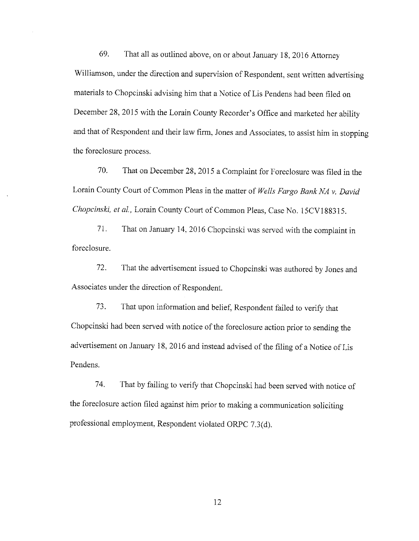69. That all as outlined above, on or about January 18, 2016 Attorney Williamson, under the direction and supervision of Respondent, sent written advertising materials to Chopcinski advising him that a Notice of Lis Pendens had been filed on December 28, 2015 with the Lorain County Recorder's Office and marketed her ability and that of Respondent and their law firm, Jones and Associates, to assist him in stopping the foreclosure process.

70. That on December 28, 2015 a Complaint for Foreclosure was filed in the Lorain County Court of Common Pleas in the matter of *Wells Fargo Bank NA v. David Chopcinski, et al.,* Lorain County Court of Common Pleas, Case No. 15CV188315.

71. That on January 14, 2016 Chopcinski was served with the complaint in foreclosure.

72. That the advertisement issued to Chopcinski was authored by Jones and Associates under the direction of Respondent.

73. That upon information and belief, Respondent failed to verify that Chopcinski had been served with notice of the foreclosure action prior to sending the advertisement on January 18, 2016 and instead advised of the filing of a Notice of Lis Pendens.

74. That by failing to verify that Chopcinski had been served with notice of the foreclosure action filed against him prior to making a communication soliciting professional employment, Respondent violated ORPC 7.3(d).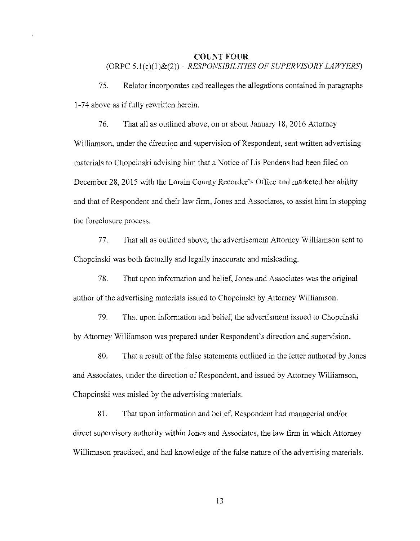## **COUNT FOUR**  (ORPC *5.I(c)(l)&(2))-RESPONSIBILITJES OF SUPERVISORY LAWYERS)*

75. Relator incorporates and realleges the allegations contained in paragraphs 1-74 above as if fully rewritten herein.

76. That all as outlined above, on or about January 18, 2016 Attorney Williamson, under the direction and supervision of Respondent, sent written advertising materials to Chopcinski advising him that a Notice of Lis Pendens had been filed on December 28, 2015 with the Lorain County Recorder's Office and marketed her ability and that of Respondent and their law firm, Jones and Associates, to assist him in stopping the foreclosure process.

77. That all as outlined above, the advertisement Attorney Williamson sent to Chopcinski was both factually and legally inaccurate and misleading.

78. That upon information and belief, Jones and Associates was the original author of the advertising materials issued to Chopcinski by Attorney Williamson.

79. That upon information and belief, the advertisment issued to Chopcinski by Attorney Williamson was prepared under Respondent's direction and supervision.

80. That a result of the false statements outlined in the letter authored by Jones and Associates, under the direction of Respondent, and issued by Attorney Williamson, Chopcinski was misled by the advertising materials.

81. That upon information and belief, Respondent had managerial and/or direct supervisory authority within Jones and Associates, the law firm in which Attorney Willimason practiced, and had knowledge of the false nature of the advertising materials.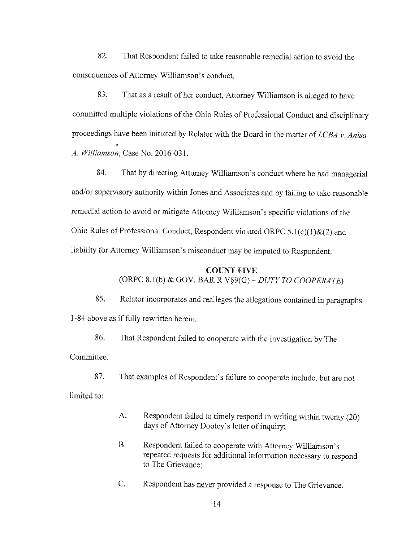82. That Respondent failed to take reasonable remedial action to avoid the consequences of Attorney Williamson's conduct.

83. That as a result of her conduct, Attorney Williamson is alleged to have committed multiple violations of the Ohio Rules of Professional Conduct and disciplinary proceedings have been initiated by Relator with the Board in the matter of *LCBA v. Anisa*  , *A. Williamson,* Case No. 2016-031.

84. That by directing Attorney Williamson's conduct where he had managerial and/or supervisory authority within Jones and Associates and by failing to take reasonable remedial action to avoid or mitigate Attorney Williamson's specific violations of the Ohio Rules of Professional Conduct, Respondent violated ORPC  $5.1(c)(1)$ &(2) and liability for Attorney Williamson's misconduct may be imputed to Respondent.

## COUNT FIVE

(ORPC 8.l(b) & GOV. BARR V§9(G)-DUTY TO COOPERATE)

85. Relator incorporates and realleges the allegations contained in paragraphs 1-84 above as if fully rewritten herein.

86. That Respondent failed to cooperate with the investigation by The Committee.

87. That examples of Respondent's failure to cooperate include, but are not

limited to:

- A. Respondent failed to timely respond in writing within twenty (20) days of Attorney Dooley's letter of inquiry;
- B. Respondent failed to cooperate with Attorney Williamson's repeated requests for additional information necessary to respond to The Grievance;
- C. Respondent has never provided a response to The Grievance.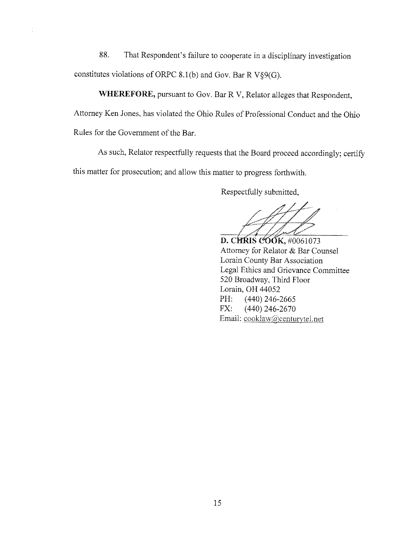88. That Respondent's failure to cooperate in a disciplinary investigation constitutes violations of ORPC 8.1(b) and Gov. Bar R V§9(G).

**WHEREFORE,** pursuant to Gov. Bar RV, Relator alleges that Respondent, Attorney Ken Jones, has violated the Ohio Rules of Professional Conduct and the Ohio Rules for the Government of the Bar.

As such, Relator respectfully requests that the Board proceed accordingly; certify this matter for prosecution; and allow this matter to progress forthwith.

Respectfully submitted,

D. CHRIS COOK, #0061073 Attorney for Relator & Bar Counsel Lorain County Bar Association Legal Ethics and Grievance Committee 520 Broadway, Third Floor Lorain, OH 44052 PH: (440) 246-2665 FX: ( 440) 246-2670 Email: cooklaw@centurytel.net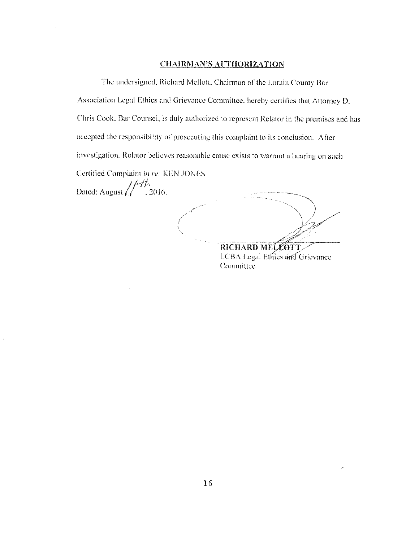## **CHAIRMAN'S AUTHORIZATION**

The undersigned. Richard Mellott, Chairman of the Lorain County Bar Association Legal Ethics and Grievance Committee, hereby certifies that Attorney D. Chris Cook. Bar Counsel. is duly authorized lo represent Relator in the premises and has accepted the responsibility of prosecuting this complaint to its conclusion. After investigation. Rclator believes reasonublc cause exists to warrant a hearing on such

Certified Complaint *in re:* KEN JONES

*I/-//,,*  Dated: August  $\boxed{\phantom{1}}$ , 2016.

RICHARD MELLOTT LCBA Legal Ethics and Grievance Committee